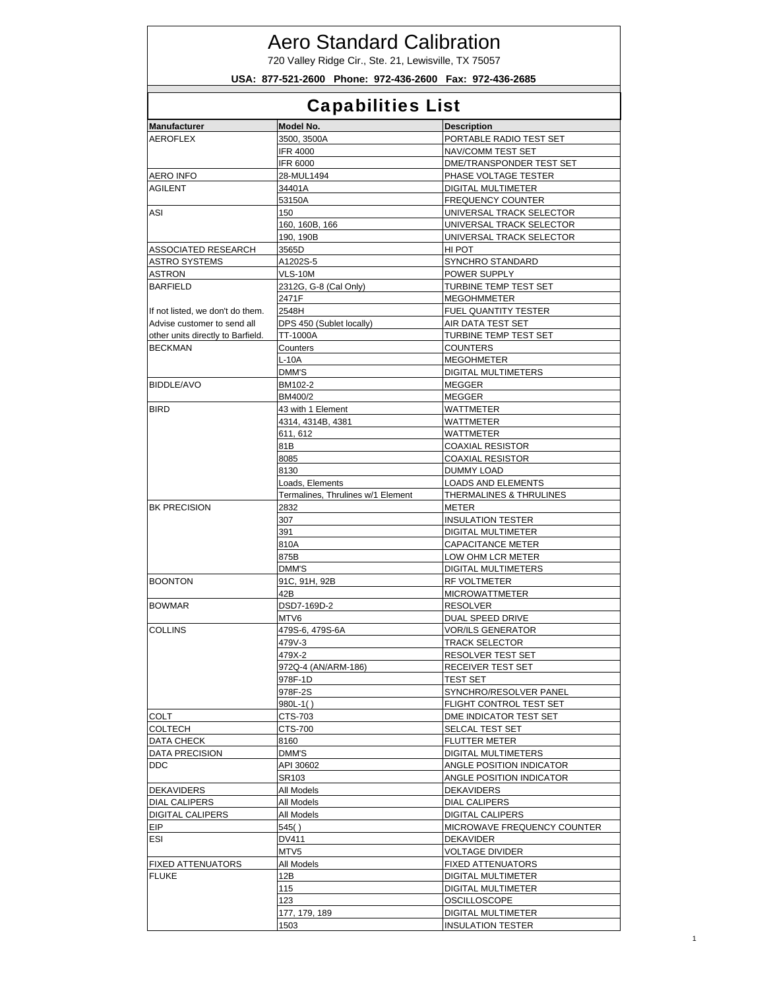## Aero Standard Calibration

720 Valley Ridge Cir., Ste. 21, Lewisville, TX 75057

**USA: 877-521-2600 Phone: 972-436-2600 Fax: 972-436-2685**

## Capabilities List

| рараршысэ шэг                            |                                   |                                                      |  |  |
|------------------------------------------|-----------------------------------|------------------------------------------------------|--|--|
| <b>Manufacturer</b>                      | Model No.                         | <b>Description</b>                                   |  |  |
| <b>AEROFLEX</b>                          | 3500, 3500A                       | PORTABLE RADIO TEST SET                              |  |  |
|                                          | <b>IFR 4000</b>                   | NAV/COMM TEST SET                                    |  |  |
|                                          | IFR 6000                          | DME/TRANSPONDER TEST SET                             |  |  |
| <b>AERO INFO</b>                         | 28-MUL1494                        | PHASE VOLTAGE TESTER                                 |  |  |
| <b>AGILENT</b>                           | 34401A                            | <b>DIGITAL MULTIMETER</b>                            |  |  |
|                                          | 53150A                            | <b>FREQUENCY COUNTER</b>                             |  |  |
| ASI                                      | 150                               | UNIVERSAL TRACK SELECTOR                             |  |  |
|                                          | 160, 160B, 166                    | UNIVERSAL TRACK SELECTOR                             |  |  |
|                                          | 190, 190B                         | UNIVERSAL TRACK SELECTOR                             |  |  |
| ASSOCIATED RESEARCH                      | 3565D                             | HI POT                                               |  |  |
| <b>ASTRO SYSTEMS</b>                     | A1202S-5                          | SYNCHRO STANDARD                                     |  |  |
| <b>ASTRON</b>                            | VLS-10M                           | POWER SUPPLY                                         |  |  |
| <b>BARFIELD</b>                          | 2312G, G-8 (Cal Only)             | TURBINE TEMP TEST SET                                |  |  |
|                                          | 2471F                             | <b>MEGOHMMETER</b>                                   |  |  |
| If not listed, we don't do them.         | 2548H                             | FUEL QUANTITY TESTER                                 |  |  |
| Advise customer to send all              | DPS 450 (Sublet locally)          | AIR DATA TEST SET                                    |  |  |
| other units directly to Barfield.        | TT-1000A                          | TURBINE TEMP TEST SET                                |  |  |
| <b>BECKMAN</b>                           | Counters                          | <b>COUNTERS</b>                                      |  |  |
|                                          | L-10A                             | <b>MEGOHMETER</b>                                    |  |  |
|                                          | DMM'S                             | <b>DIGITAL MULTIMETERS</b>                           |  |  |
| <b>BIDDLE/AVO</b>                        | BM102-2                           | <b>MEGGER</b>                                        |  |  |
|                                          | BM400/2                           | <b>MEGGER</b>                                        |  |  |
| <b>BIRD</b>                              | 43 with 1 Element                 | <b>WATTMETER</b>                                     |  |  |
|                                          | 4314, 4314B, 4381                 | WATTMETER                                            |  |  |
|                                          | 611, 612                          | <b>WATTMETER</b>                                     |  |  |
|                                          | 81B                               | <b>COAXIAL RESISTOR</b>                              |  |  |
|                                          | 8085                              | <b>COAXIAL RESISTOR</b>                              |  |  |
|                                          | 8130                              | DUMMY LOAD                                           |  |  |
|                                          | Loads, Elements                   | LOADS AND ELEMENTS                                   |  |  |
|                                          | Termalines, Thrulines w/1 Element | THERMALINES & THRULINES                              |  |  |
| <b>BK PRECISION</b>                      | 2832                              | METER                                                |  |  |
|                                          | 307                               | <b>INSULATION TESTER</b>                             |  |  |
|                                          | 391                               | DIGITAL MULTIMETER                                   |  |  |
|                                          | 810A                              | <b>CAPACITANCE METER</b>                             |  |  |
|                                          | 875B                              | LOW OHM LCR METER                                    |  |  |
|                                          | DMM'S                             | DIGITAL MULTIMETERS                                  |  |  |
| <b>BOONTON</b>                           | 91C, 91H, 92B                     | RF VOLTMETER                                         |  |  |
|                                          | 42B                               | <b>MICROWATTMETER</b>                                |  |  |
| <b>BOWMAR</b>                            | DSD7-169D-2                       | <b>RESOLVER</b>                                      |  |  |
|                                          | MTV6                              | DUAL SPEED DRIVE                                     |  |  |
| <b>COLLINS</b>                           | 479S-6, 479S-6A                   | <b>VOR/ILS GENERATOR</b>                             |  |  |
|                                          | 479V-3                            | <b>TRACK SELECTOR</b>                                |  |  |
|                                          | 479X-2                            | RESOLVER TEST SET                                    |  |  |
|                                          | 972Q-4 (AN/ARM-186)               | RECEIVER TEST SET                                    |  |  |
|                                          | 978F-1D                           | <b>TEST SET</b>                                      |  |  |
|                                          | 978F-2S                           | SYNCHRO/RESOLVER PANEL                               |  |  |
|                                          | $980L-1()$                        | FLIGHT CONTROL TEST SET                              |  |  |
| COLT                                     | CTS-703<br>CTS-700                | DME INDICATOR TEST SET<br>SELCAL TEST SET            |  |  |
| <b>COLTECH</b>                           | 8160                              |                                                      |  |  |
| DATA CHECK                               | DMM'S                             | <b>FLUTTER METER</b>                                 |  |  |
| <b>DATA PRECISION</b>                    | API 30602                         | DIGITAL MULTIMETERS                                  |  |  |
| <b>DDC</b>                               | SR103                             | ANGLE POSITION INDICATOR<br>ANGLE POSITION INDICATOR |  |  |
| <b>DEKAVIDERS</b>                        | All Models                        | DEKAVIDERS                                           |  |  |
| <b>DIAL CALIPERS</b>                     | All Models                        | <b>DIAL CALIPERS</b>                                 |  |  |
| <b>DIGITAL CALIPERS</b>                  | All Models                        | <b>DIGITAL CALIPERS</b>                              |  |  |
|                                          | 545()                             | MICROWAVE FREQUENCY COUNTER                          |  |  |
| <b>EIP</b><br>ESI                        | DV411                             | DEKAVIDER                                            |  |  |
|                                          |                                   |                                                      |  |  |
|                                          | MTV5                              | <b>VOLTAGE DIVIDER</b>                               |  |  |
| <b>FIXED ATTENUATORS</b><br><b>FLUKE</b> | All Models<br>12B                 | <b>FIXED ATTENUATORS</b>                             |  |  |
|                                          | 115                               | DIGITAL MULTIMETER<br>DIGITAL MULTIMETER             |  |  |
|                                          | 123                               | OSCILLOSCOPE                                         |  |  |
|                                          | 177, 179, 189                     | DIGITAL MULTIMETER                                   |  |  |
|                                          |                                   | <b>INSULATION TESTER</b>                             |  |  |
|                                          | 1503                              |                                                      |  |  |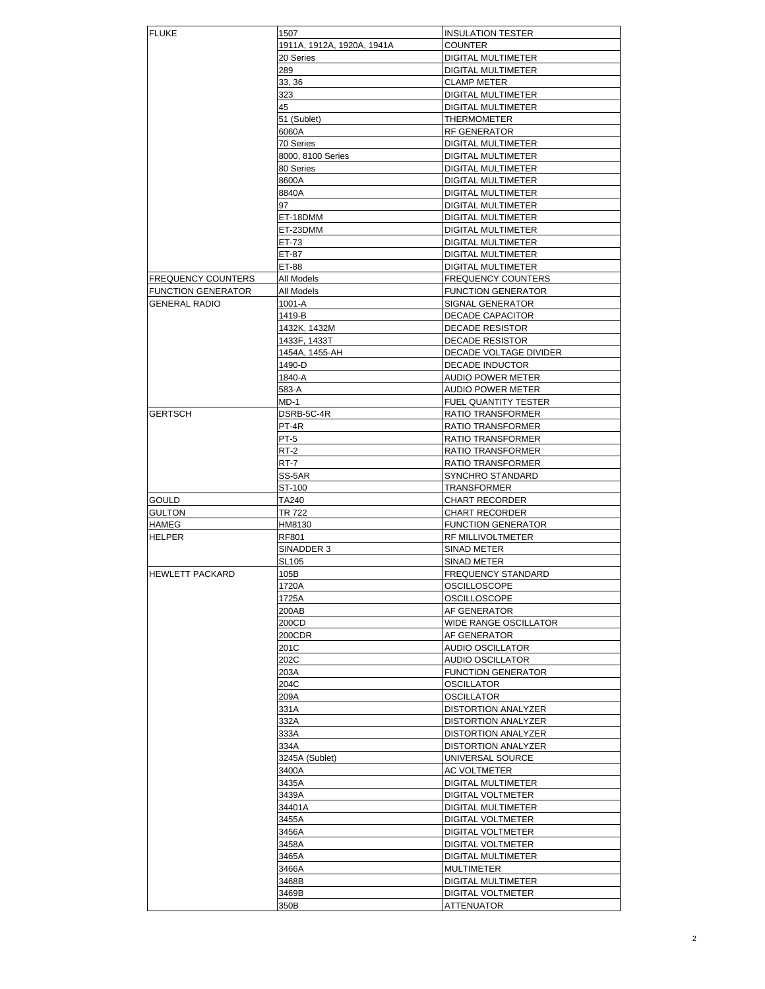| <b>FLUKE</b>              | 1507                       | <b>INSULATION TESTER</b>  |
|---------------------------|----------------------------|---------------------------|
|                           | 1911A, 1912A, 1920A, 1941A | <b>COUNTER</b>            |
|                           | 20 Series                  | DIGITAL MULTIMETER        |
|                           | 289                        | DIGITAL MULTIMETER        |
|                           | 33, 36                     | <b>CLAMP METER</b>        |
|                           | 323                        | DIGITAL MULTIMETER        |
|                           | 45                         | <b>DIGITAL MULTIMETER</b> |
|                           | 51 (Sublet)                | THERMOMETER               |
|                           |                            | RF GENERATOR              |
|                           | 6060A                      |                           |
|                           | 70 Series                  | DIGITAL MULTIMETER        |
|                           | 8000, 8100 Series          | DIGITAL MULTIMETER        |
|                           | 80 Series                  | <b>DIGITAL MULTIMETER</b> |
|                           | 8600A                      | DIGITAL MULTIMETER        |
|                           | 8840A                      | DIGITAL MULTIMETER        |
|                           | 97                         | DIGITAL MULTIMETER        |
|                           | ET-18DMM                   | DIGITAL MULTIMETER        |
|                           | ET-23DMM                   | DIGITAL MULTIMETER        |
|                           | ET-73                      | DIGITAL MULTIMETER        |
|                           | ET-87                      | DIGITAL MULTIMETER        |
|                           | ET-88                      | DIGITAL MULTIMETER        |
| <b>FREQUENCY COUNTERS</b> | All Models                 | <b>FREQUENCY COUNTERS</b> |
|                           |                            |                           |
| <b>FUNCTION GENERATOR</b> | All Models                 | <b>FUNCTION GENERATOR</b> |
| <b>GENERAL RADIO</b>      | 1001-A                     | SIGNAL GENERATOR          |
|                           | 1419-B                     | DECADE CAPACITOR          |
|                           | 1432K, 1432M               | DECADE RESISTOR           |
|                           | 1433F, 1433T               | DECADE RESISTOR           |
|                           | 1454A. 1455-AH             | DECADE VOLTAGE DIVIDER    |
|                           | 1490-D                     | DECADE INDUCTOR           |
|                           | 1840-A                     | <b>AUDIO POWER METER</b>  |
|                           | 583-A                      | <b>AUDIO POWER METER</b>  |
|                           | MD-1                       | FUEL QUANTITY TESTER      |
| GERTSCH                   | DSRB-5C-4R                 | <b>RATIO TRANSFORMER</b>  |
|                           |                            |                           |
|                           | PT-4R                      | RATIO TRANSFORMER         |
|                           | PT-5                       | RATIO TRANSFORMER         |
|                           | RT-2                       | RATIO TRANSFORMER         |
|                           | RT-7                       | RATIO TRANSFORMER         |
|                           | SS-5AR                     | SYNCHRO STANDARD          |
|                           | ST-100                     | <b>TRANSFORMER</b>        |
| GOULD                     | TA240                      | <b>CHART RECORDER</b>     |
| GULTON                    | TR 722                     | CHART RECORDER            |
| HAMEG                     | HM8130                     | <b>FUNCTION GENERATOR</b> |
| HELPER                    | RF801                      | RF MILLIVOLTMETER         |
|                           | SINADDER 3                 | <b>SINAD METER</b>        |
|                           |                            |                           |
|                           | <b>SL105</b>               | SINAD METER               |
| <b>HEWLETT PACKARD</b>    | 105B                       | <b>FREQUENCY STANDARD</b> |
|                           | 1720A                      | <b>OSCILLOSCOPE</b>       |
|                           | 1725A                      | OSCILLOSCOPE              |
|                           | 200AB                      | AF GENERATOR              |
|                           | 200CD                      | WIDE RANGE OSCILLATOR     |
|                           | 200CDR                     | AF GENERATOR              |
|                           | 201C                       | AUDIO OSCILLATOR          |
|                           | 202C                       | AUDIO OSCILLATOR          |
|                           | 203A                       | <b>FUNCTION GENERATOR</b> |
|                           | 204C                       | OSCILLATOR                |
|                           |                            |                           |
|                           | 209A                       | OSCILLATOR                |
|                           | 331A                       | DISTORTION ANALYZER       |
|                           | 332A                       | DISTORTION ANALYZER       |
|                           | 333A                       | DISTORTION ANALYZER       |
|                           | 334A                       | DISTORTION ANALYZER       |
|                           | 3245A (Sublet)             | UNIVERSAL SOURCE          |
|                           | 3400A                      | AC VOLTMETER              |
|                           | 3435A                      | DIGITAL MULTIMETER        |
|                           | 3439A                      | DIGITAL VOLTMETER         |
|                           | 34401A                     | DIGITAL MULTIMETER        |
|                           |                            |                           |
|                           | 3455A                      | DIGITAL VOLTMETER         |
|                           | 3456A                      | DIGITAL VOLTMETER         |
|                           | 3458A                      | DIGITAL VOLTMETER         |
|                           | 3465A                      | DIGITAL MULTIMETER        |
|                           | 3466A                      | MULTIMETER                |
|                           | 3468B                      | DIGITAL MULTIMETER        |
|                           | 3469B                      | DIGITAL VOLTMETER         |
|                           | 350B                       | ATTENUATOR                |
|                           |                            |                           |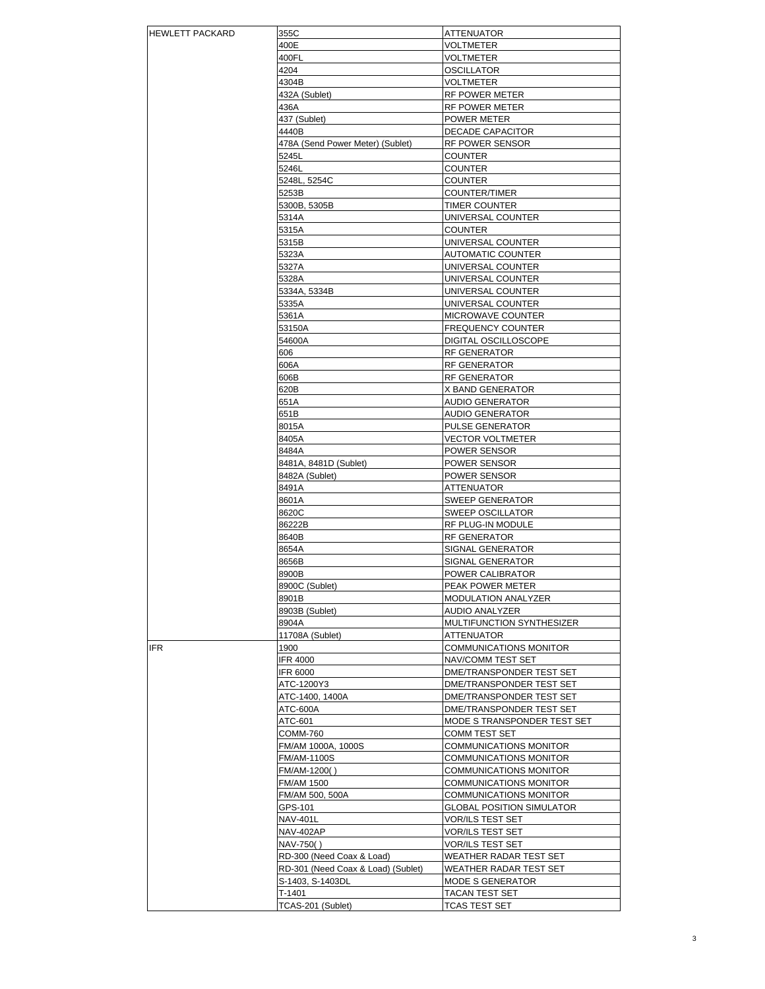| <b>HEWLETT PACKARD</b> | 355C                               | ATTENUATOR                       |
|------------------------|------------------------------------|----------------------------------|
|                        | 400E                               | VOLTMETER                        |
|                        | 400FL                              | VOLTMETER                        |
|                        |                                    |                                  |
|                        | 4204                               | OSCILLATOR                       |
|                        | 4304B                              | VOLTMETER                        |
|                        |                                    |                                  |
|                        | 432A (Sublet)                      | RF POWER METER                   |
|                        | 436A                               | RF POWER METER                   |
|                        | 437 (Sublet)                       | POWER METER                      |
|                        |                                    |                                  |
|                        | 4440B                              | DECADE CAPACITOR                 |
|                        | 478A (Send Power Meter) (Sublet)   | RF POWER SENSOR                  |
|                        |                                    |                                  |
|                        | 5245L                              | COUNTER                          |
|                        | 5246L                              | COUNTER                          |
|                        | 5248L, 5254C                       | <b>COUNTER</b>                   |
|                        |                                    |                                  |
|                        | 5253B                              | COUNTER/TIMER                    |
|                        | 5300B, 5305B                       | TIMER COUNTER                    |
|                        | 5314A                              | UNIVERSAL COUNTER                |
|                        |                                    |                                  |
|                        | 5315A                              | <b>COUNTER</b>                   |
|                        | 5315B                              | UNIVERSAL COUNTER                |
|                        |                                    |                                  |
|                        | 5323A                              | <b>AUTOMATIC COUNTER</b>         |
|                        | 5327A                              | UNIVERSAL COUNTER                |
|                        |                                    |                                  |
|                        | 5328A                              | UNIVERSAL COUNTER                |
|                        | 5334A, 5334B                       | UNIVERSAL COUNTER                |
|                        | 5335A                              | UNIVERSAL COUNTER                |
|                        |                                    |                                  |
|                        | 5361A                              | MICROWAVE COUNTER                |
|                        | 53150A                             | <b>FREQUENCY COUNTER</b>         |
|                        |                                    |                                  |
|                        | 54600A                             | DIGITAL OSCILLOSCOPE             |
|                        | 606                                | RF GENERATOR                     |
|                        | 606A                               | RF GENERATOR                     |
|                        |                                    |                                  |
|                        | 606B                               | RF GENERATOR                     |
|                        | 620B                               | X BAND GENERATOR                 |
|                        |                                    |                                  |
|                        | 651A                               | AUDIO GENERATOR                  |
|                        | 651B                               | AUDIO GENERATOR                  |
|                        | 8015A                              | PULSE GENERATOR                  |
|                        |                                    |                                  |
|                        | 8405A                              | <b>VECTOR VOLTMETER</b>          |
|                        | 8484A                              | POWER SENSOR                     |
|                        |                                    |                                  |
|                        | 8481A, 8481D (Sublet)              | POWER SENSOR                     |
|                        | 8482A (Sublet)                     | POWER SENSOR                     |
|                        |                                    |                                  |
|                        | 8491A                              | ATTENUATOR                       |
|                        | 8601A                              | <b>SWEEP GENERATOR</b>           |
|                        | 8620C                              | <b>SWEEP OSCILLATOR</b>          |
|                        |                                    |                                  |
|                        | 86222B                             | RF PLUG-IN MODULE                |
|                        | 8640B                              | <b>RF GENERATOR</b>              |
|                        |                                    |                                  |
|                        | 8654A                              | SIGNAL GENERATOR                 |
|                        | 8656B                              | SIGNAL GENERATOR                 |
|                        |                                    |                                  |
|                        | 8900B                              | POWER CALIBRATOR                 |
|                        | 8900C (Sublet)                     | PEAK POWER METER                 |
|                        | 8901B                              | MODULATION ANALYZER              |
|                        |                                    |                                  |
|                        | 8903B (Sublet)                     | AUDIO ANALYZER                   |
|                        | 8904A                              | MULTIFUNCTION SYNTHESIZER        |
|                        |                                    |                                  |
|                        | 11708A (Sublet)                    | ATTENUATOR                       |
| <b>IFR</b>             | 1900                               | COMMUNICATIONS MONITOR           |
|                        | <b>IFR 4000</b>                    | NAV/COMM TEST SET                |
|                        |                                    |                                  |
|                        | <b>IFR 6000</b>                    | DME/TRANSPONDER TEST SET         |
|                        | ATC-1200Y3                         | DME/TRANSPONDER TEST SET         |
|                        |                                    |                                  |
|                        | ATC-1400, 1400A                    | DME/TRANSPONDER TEST SET         |
|                        | ATC-600A                           | DME/TRANSPONDER TEST SET         |
|                        | ATC-601                            | MODE S TRANSPONDER TEST SET      |
|                        |                                    |                                  |
|                        | <b>COMM-760</b>                    | COMM TEST SET                    |
|                        | FM/AM 1000A, 1000S                 | COMMUNICATIONS MONITOR           |
|                        |                                    |                                  |
|                        | <b>FM/AM-1100S</b>                 | COMMUNICATIONS MONITOR           |
|                        | FM/AM-1200()                       | COMMUNICATIONS MONITOR           |
|                        |                                    |                                  |
|                        | FM/AM 1500                         | COMMUNICATIONS MONITOR           |
|                        | FM/AM 500, 500A                    | COMMUNICATIONS MONITOR           |
|                        | GPS-101                            | <b>GLOBAL POSITION SIMULATOR</b> |
|                        |                                    |                                  |
|                        | <b>NAV-401L</b>                    | VOR/ILS TEST SET                 |
|                        | NAV-402AP                          | VOR/ILS TEST SET                 |
|                        |                                    |                                  |
|                        | NAV-750()                          | VOR/ILS TEST SET                 |
|                        | RD-300 (Need Coax & Load)          | WEATHER RADAR TEST SET           |
|                        | RD-301 (Need Coax & Load) (Sublet) | WEATHER RADAR TEST SET           |
|                        |                                    |                                  |
|                        | S-1403, S-1403DL                   | MODE S GENERATOR                 |
|                        | T-1401                             | TACAN TEST SET                   |
|                        |                                    |                                  |
|                        | TCAS-201 (Sublet)                  | TCAS TEST SET                    |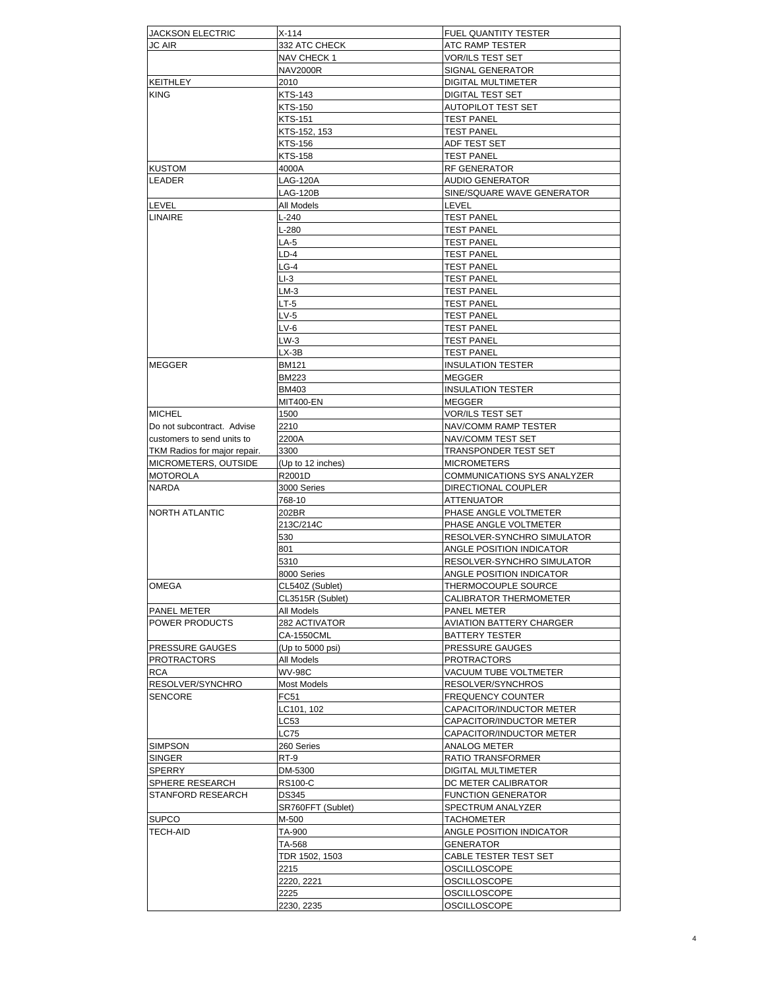| JACKSON ELECTRIC             | X-114             | <b>FUEL QUANTITY TESTER</b> |
|------------------------------|-------------------|-----------------------------|
| <b>JC AIR</b>                | 332 ATC CHECK     | ATC RAMP TESTER             |
|                              | NAV CHECK 1       | VOR/ILS TEST SET            |
|                              | <b>NAV2000R</b>   | SIGNAL GENERATOR            |
| KEITHLEY                     | 2010              | DIGITAL MULTIMETER          |
|                              |                   |                             |
| <b>KING</b>                  | <b>KTS-143</b>    | DIGITAL TEST SET            |
|                              | KTS-150           | AUTOPILOT TEST SET          |
|                              | <b>KTS-151</b>    | <b>TEST PANEL</b>           |
|                              | KTS-152, 153      | <b>TEST PANEL</b>           |
|                              | KTS-156           | ADF TEST SET                |
|                              | <b>KTS-158</b>    | <b>TEST PANEL</b>           |
| <b>KUSTOM</b>                | 4000A             | RF GENERATOR                |
| LEADER                       | <b>LAG-120A</b>   | <b>AUDIO GENERATOR</b>      |
|                              | LAG-120B          | SINE/SQUARE WAVE GENERATOR  |
| LEVEL                        | All Models        | LEVEL                       |
| LINAIRE                      | $L - 240$         | <b>TEST PANEL</b>           |
|                              |                   |                             |
|                              | L-280             | <b>TEST PANEL</b>           |
|                              | LA-5              | <b>TEST PANEL</b>           |
|                              | LD-4              | <b>TEST PANEL</b>           |
|                              | LG-4              | <b>TEST PANEL</b>           |
|                              | $LI-3$            | <b>TEST PANEL</b>           |
|                              | $LM-3$            | <b>TEST PANEL</b>           |
|                              | LT-5              | <b>TEST PANEL</b>           |
|                              | $LV-5$            | <b>TEST PANEL</b>           |
|                              | $LV-6$            | <b>TEST PANEL</b>           |
|                              | LW-3              | <b>TEST PANEL</b>           |
|                              | LX-3B             | <b>TEST PANEL</b>           |
|                              |                   |                             |
| <b>MEGGER</b>                | BM121             | <b>INSULATION TESTER</b>    |
|                              | <b>BM223</b>      | MEGGER                      |
|                              | <b>BM403</b>      | <b>INSULATION TESTER</b>    |
|                              | MIT400-EN         | MEGGER                      |
| <b>MICHEL</b>                | 1500              | VOR/ILS TEST SET            |
| Do not subcontract. Advise   | 2210              | NAV/COMM RAMP TESTER        |
| customers to send units to   | 2200A             | NAV/COMM TEST SET           |
| TKM Radios for major repair. | 3300              | TRANSPONDER TEST SET        |
| MICROMETERS, OUTSIDE         | (Up to 12 inches) | <b>MICROMETERS</b>          |
| <b>MOTOROLA</b>              | R2001D            | COMMUNICATIONS SYS ANALYZER |
| <b>NARDA</b>                 |                   | DIRECTIONAL COUPLER         |
|                              | 3000 Series       |                             |
|                              | 768-10            | ATTENUATOR                  |
| NORTH ATLANTIC               | 202BR             | PHASE ANGLE VOLTMETER       |
|                              | 213C/214C         | PHASE ANGLE VOLTMETER       |
|                              | 530               | RESOLVER-SYNCHRO SIMULATOR  |
|                              | 801               | ANGLE POSITION INDICATOR    |
|                              | 5310              | RESOLVER-SYNCHRO SIMULATOR  |
|                              | 8000 Series       | ANGLE POSITION INDICATOR    |
| OMEGA                        | CL540Z (Sublet)   | THERMOCOUPLE SOURCE         |
|                              | CL3515R (Sublet)  | CALIBRATOR THERMOMETER      |
| <b>PANEL METER</b>           | All Models        | PANEL METER                 |
| <b>POWER PRODUCTS</b>        |                   | AVIATION BATTERY CHARGER    |
|                              | 282 ACTIVATOR     |                             |
|                              | <b>CA-1550CML</b> | BATTERY TESTER              |
| <b>PRESSURE GAUGES</b>       | (Up to 5000 psi)  | PRESSURE GAUGES             |
| <b>PROTRACTORS</b>           | All Models        | <b>PROTRACTORS</b>          |
| RCA                          | <b>WV-98C</b>     | VACUUM TUBE VOLTMETER       |
| RESOLVER/SYNCHRO             | Most Models       | RESOLVER/SYNCHROS           |
| <b>SENCORE</b>               | FC51              | <b>FREQUENCY COUNTER</b>    |
|                              | LC101, 102        | CAPACITOR/INDUCTOR METER    |
|                              | LC53              | CAPACITOR/INDUCTOR METER    |
|                              | LC75              | CAPACITOR/INDUCTOR METER    |
|                              |                   |                             |
| <b>SIMPSON</b>               | 260 Series        | ANALOG METER                |
| <b>SINGER</b>                | RT-9              | RATIO TRANSFORMER           |
| SPERRY                       | DM-5300           | DIGITAL MULTIMETER          |
| <b>SPHERE RESEARCH</b>       | RS100-C           | DC METER CALIBRATOR         |
| <b>STANFORD RESEARCH</b>     | <b>DS345</b>      | <b>FUNCTION GENERATOR</b>   |
|                              | SR760FFT (Sublet) | SPECTRUM ANALYZER           |
| <b>SUPCO</b>                 | M-500             | TACHOMETER                  |
| <b>TECH-AID</b>              | TA-900            | ANGLE POSITION INDICATOR    |
|                              | TA-568            | GENERATOR                   |
|                              |                   |                             |
|                              | TDR 1502, 1503    | CABLE TESTER TEST SET       |
|                              | 2215              | OSCILLOSCOPE                |
|                              | 2220, 2221        | OSCILLOSCOPE                |
|                              | 2225              | OSCILLOSCOPE                |
|                              | 2230, 2235        | OSCILLOSCOPE                |